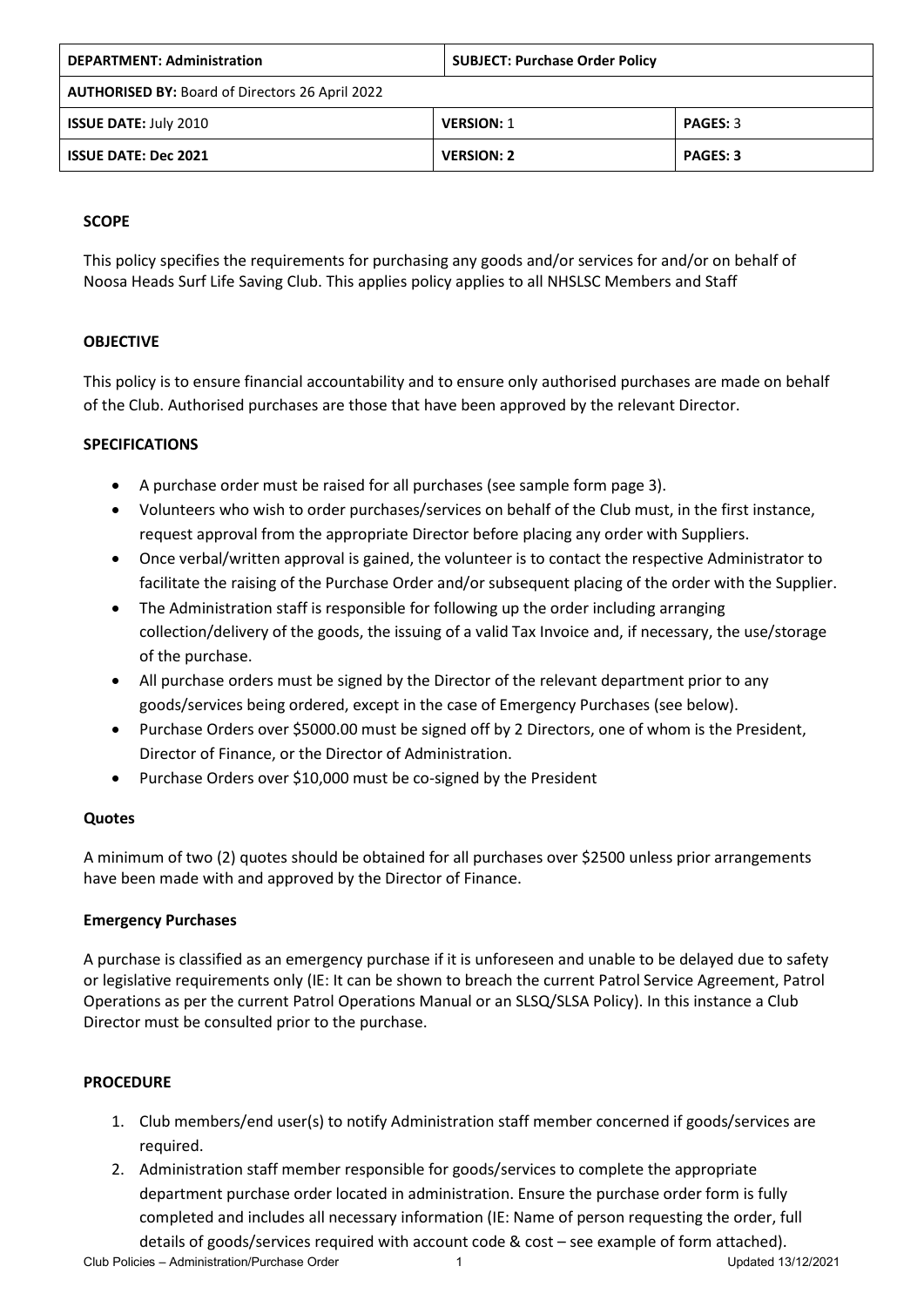| <b>DEPARTMENT: Administration</b>                      | <b>SUBJECT: Purchase Order Policy</b> |                 |  |  |  |
|--------------------------------------------------------|---------------------------------------|-----------------|--|--|--|
| <b>AUTHORISED BY: Board of Directors 26 April 2022</b> |                                       |                 |  |  |  |
| <b>ISSUE DATE: July 2010</b>                           | <b>VERSION: 1</b>                     | <b>PAGES: 3</b> |  |  |  |
| <b>ISSUE DATE: Dec 2021</b>                            | <b>VERSION: 2</b>                     | <b>PAGES: 3</b> |  |  |  |

# **SCOPE**

This policy specifies the requirements for purchasing any goods and/or services for and/or on behalf of Noosa Heads Surf Life Saving Club. This applies policy applies to all NHSLSC Members and Staff

# **OBJECTIVE**

This policy is to ensure financial accountability and to ensure only authorised purchases are made on behalf of the Club. Authorised purchases are those that have been approved by the relevant Director.

### **SPECIFICATIONS**

- A purchase order must be raised for all purchases (see sample form page 3).
- Volunteers who wish to order purchases/services on behalf of the Club must, in the first instance, request approval from the appropriate Director before placing any order with Suppliers.
- Once verbal/written approval is gained, the volunteer is to contact the respective Administrator to facilitate the raising of the Purchase Order and/or subsequent placing of the order with the Supplier.
- The Administration staff is responsible for following up the order including arranging collection/delivery of the goods, the issuing of a valid Tax Invoice and, if necessary, the use/storage of the purchase.
- All purchase orders must be signed by the Director of the relevant department prior to any goods/services being ordered, except in the case of Emergency Purchases (see below).
- Purchase Orders over \$5000.00 must be signed off by 2 Directors, one of whom is the President, Director of Finance, or the Director of Administration.
- Purchase Orders over \$10,000 must be co-signed by the President

#### **Quotes**

A minimum of two (2) quotes should be obtained for all purchases over \$2500 unless prior arrangements have been made with and approved by the Director of Finance.

#### **Emergency Purchases**

A purchase is classified as an emergency purchase if it is unforeseen and unable to be delayed due to safety or legislative requirements only (IE: It can be shown to breach the current Patrol Service Agreement, Patrol Operations as per the current Patrol Operations Manual or an SLSQ/SLSA Policy). In this instance a Club Director must be consulted prior to the purchase.

#### **PROCEDURE**

- 1. Club members/end user(s) to notify Administration staff member concerned if goods/services are required.
- 2. Administration staff member responsible for goods/services to complete the appropriate department purchase order located in administration. Ensure the purchase order form is fully completed and includes all necessary information (IE: Name of person requesting the order, full details of goods/services required with account code & cost – see example of form attached).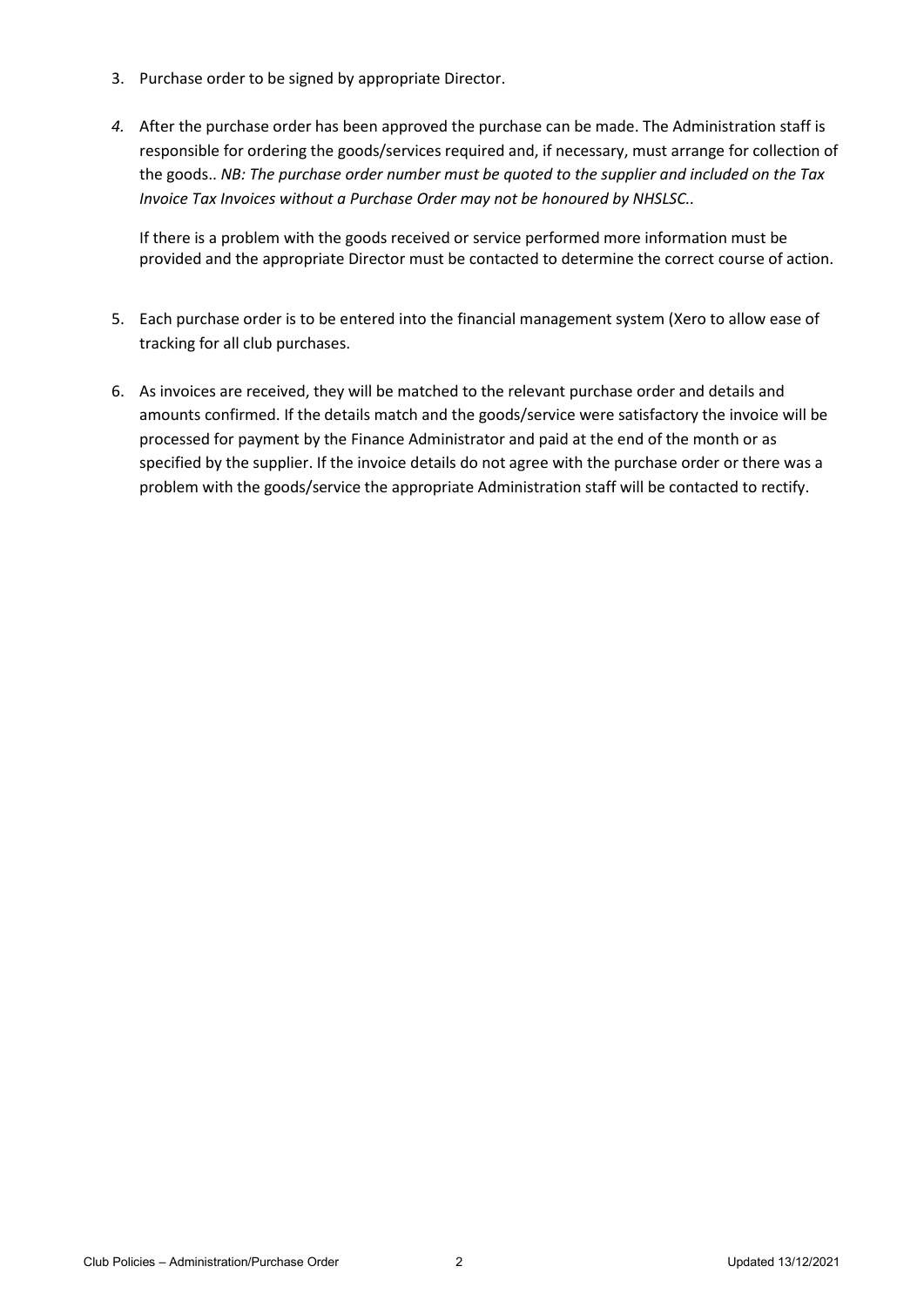- 3. Purchase order to be signed by appropriate Director.
- *4.* After the purchase order has been approved the purchase can be made. The Administration staff is responsible for ordering the goods/services required and, if necessary, must arrange for collection of the goods.. *NB: The purchase order number must be quoted to the supplier and included on the Tax Invoice Tax Invoices without a Purchase Order may not be honoured by NHSLSC..*

If there is a problem with the goods received or service performed more information must be provided and the appropriate Director must be contacted to determine the correct course of action.

- 5. Each purchase order is to be entered into the financial management system (Xero to allow ease of tracking for all club purchases.
- 6. As invoices are received, they will be matched to the relevant purchase order and details and amounts confirmed. If the details match and the goods/service were satisfactory the invoice will be processed for payment by the Finance Administrator and paid at the end of the month or as specified by the supplier. If the invoice details do not agree with the purchase order or there was a problem with the goods/service the appropriate Administration staff will be contacted to rectify.